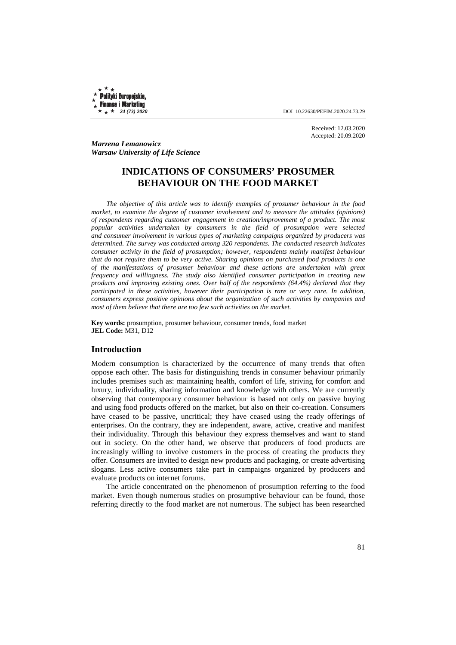Polityki Europejskie, **Finanse i Marketing** 

 $\star +$   $\star$  24 (73) 2020 **DOI** 10.22630/PEFIM.2020.24.73.29

Received: 12.03.2020 Accepted: 20.09.2020

*Marzena Lemanowicz Warsaw University of Life Science* 

# **INDICATIONS OF CONSUMERS' PROSUMER BEHAVIOUR ON THE FOOD MARKET**

*The objective of this article was to identify examples of prosumer behaviour in the food market, to examine the degree of customer involvement and to measure the attitudes (opinions) of respondents regarding customer engagement in creation/improvement of a product. The most popular activities undertaken by consumers in the field of prosumption were selected and consumer involvement in various types of marketing campaigns organized by producers was determined. The survey was conducted among 320 respondents. The conducted research indicates consumer activity in the field of prosumption; however, respondents mainly manifest behaviour that do not require them to be very active. Sharing opinions on purchased food products is one of the manifestations of prosumer behaviour and these actions are undertaken with great frequency and willingness. The study also identified consumer participation in creating new products and improving existing ones. Over half of the respondents (64.4%) declared that they participated in these activities, however their participation is rare or very rare. In addition, consumers express positive opinions about the organization of such activities by companies and most of them believe that there are too few such activities on the market.* 

**Key words:** prosumption, prosumer behaviour, consumer trends, food market **JEL Code:** M31, D12

# **Introduction**

Modern consumption is characterized by the occurrence of many trends that often oppose each other. The basis for distinguishing trends in consumer behaviour primarily includes premises such as: maintaining health, comfort of life, striving for comfort and luxury, individuality, sharing information and knowledge with others. We are currently observing that contemporary consumer behaviour is based not only on passive buying and using food products offered on the market, but also on their co-creation. Consumers have ceased to be passive, uncritical; they have ceased using the ready offerings of enterprises. On the contrary, they are independent, aware, active, creative and manifest their individuality. Through this behaviour they express themselves and want to stand out in society. On the other hand, we observe that producers of food products are increasingly willing to involve customers in the process of creating the products they offer. Consumers are invited to design new products and packaging, or create advertising slogans. Less active consumers take part in campaigns organized by producers and evaluate products on internet forums.

The article concentrated on the phenomenon of prosumption referring to the food market. Even though numerous studies on prosumptive behaviour can be found, those referring directly to the food market are not numerous. The subject has been researched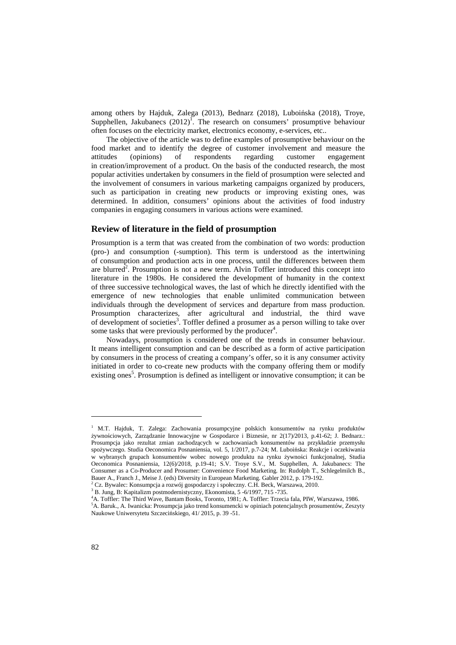among others by Hajduk, Zalega (2013), Bednarz (2018), Luboińska (2018), Troye, Supphellen, Jakubanecs  $(2012)^T$ . The research on consumers' prosumptive behaviour often focuses on the electricity market, electronics economy, e-services, etc..

The objective of the article was to define examples of prosumptive behaviour on the food market and to identify the degree of customer involvement and measure the attitudes (opinions) of respondents regarding customer engagement in creation/improvement of a product. On the basis of the conducted research, the most popular activities undertaken by consumers in the field of prosumption were selected and the involvement of consumers in various marketing campaigns organized by producers, such as participation in creating new products or improving existing ones, was determined. In addition, consumers' opinions about the activities of food industry companies in engaging consumers in various actions were examined.

# **Review of literature in the field of prosumption**

Prosumption is a term that was created from the combination of two words: production (pro-) and consumption (-sumption). This term is understood as the intertwining of consumption and production acts in one process, until the differences between them are blurred<sup>2</sup>. Prosumption is not a new term. Alvin Toffler introduced this concept into literature in the 1980s. He considered the development of humanity in the context of three successive technological waves, the last of which he directly identified with the emergence of new technologies that enable unlimited communication between individuals through the development of services and departure from mass production. Prosumption characterizes, after agricultural and industrial, the third wave of development of societies<sup>3</sup>. Toffler defined a prosumer as a person willing to take over some tasks that were previously performed by the producer<sup>4</sup>.

Nowadays, prosumption is considered one of the trends in consumer behaviour. It means intelligent consumption and can be described as a form of active participation by consumers in the process of creating a company's offer, so it is any consumer activity initiated in order to co-create new products with the company offering them or modify existing ones<sup>5</sup>. Prosumption is defined as intelligent or innovative consumption; it can be

 $\overline{a}$ 

<sup>1</sup> M.T. Hajduk, T. Zalega: Zachowania prosumpcyjne polskich konsumentów na rynku produktów żywnościowych, Zarządzanie Innowacyjne w Gospodarce i Biznesie, nr 2(17)/2013, p.41-62; J. Bednarz.: Prosumpcja jako rezultat zmian zachodzących w zachowaniach konsumentów na przykładzie przemysłu spożywczego. Studia Oeconomica Posnaniensia, vol. 5, 1/2017, p.7-24; M. Luboińska: Reakcje i oczekiwania w wybranych grupach konsumentów wobec nowego produktu na rynku żywności funkcjonalnej, Studia Oeconomica Posnaniensia, 12(6)/2018, p.19-41; S.V. Troye S.V., M. Supphellen, A. Jakubanecs: The Consumer as a Co-Producer and Prosumer: Convenience Food Marketing. In: Rudolph T., Schlegelmilch B., Bauer A., Franch J., Meise J. (eds) Diversity in European Marketing. Gabler 2012, p. 179-192.

<sup>2</sup> Cz. Bywalec: Konsumpcja a rozwój gospodarczy i społeczny. C.H. Beck, Warszawa, 2010.

<sup>&</sup>lt;sup>3</sup> B. Jung, B: Kapitalizm postmodernistyczny, Ekonomista, 5 -6/1997, 715 -735.

<sup>4</sup>A. Toffler: The Third Wave, Bantam Books, Toronto, 1981; A. Toffler: Trzecia fala, PIW, Warszawa, 1986. <sup>5</sup>A. Baruk., A. Iwanicka: Prosumpcja jako trend konsumencki w opiniach potencjalnych prosumentów, Zeszyty Naukowe Uniwersytetu Szczecińskiego, 41/ 2015, p. 39 -51.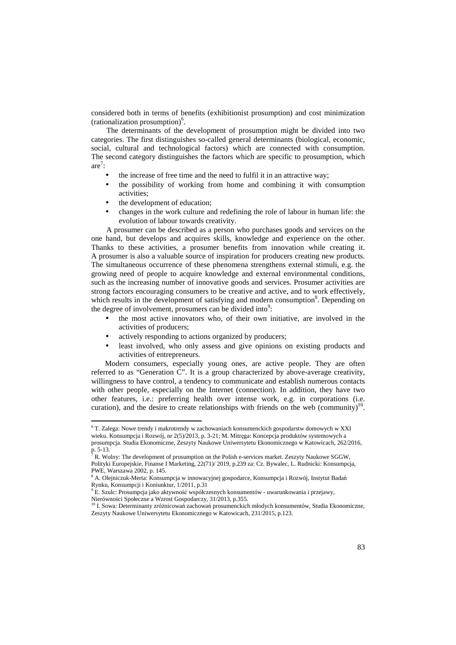considered both in terms of benefits (exhibitionist prosumption) and cost minimization (rationalization prosumption)<sup>6</sup>.

The determinants of the development of prosumption might be divided into two categories. The first distinguishes so-called general determinants (biological, economic, social, cultural and technological factors) which are connected with consumption. The second category distinguishes the factors which are specific to prosumption, which  $are^7$ :

- the increase of free time and the need to fulfil it in an attractive way;
- the possibility of working from home and combining it with consumption activities;
- the development of education;

 $\overline{a}$ 

• changes in the work culture and redefining the role of labour in human life: the evolution of labour towards creativity.

A prosumer can be described as a person who purchases goods and services on the one hand, but develops and acquires skills, knowledge and experience on the other. Thanks to these activities, a prosumer benefits from innovation while creating it. A prosumer is also a valuable source of inspiration for producers creating new products. The simultaneous occurrence of these phenomena strengthens external stimuli, e.g. the growing need of people to acquire knowledge and external environmental conditions, such as the increasing number of innovative goods and services. Prosumer activities are strong factors encouraging consumers to be creative and active, and to work effectively, which results in the development of satisfying and modern consumption<sup>8</sup>. Depending on the degree of involvement, prosumers can be divided into<sup>9</sup>:

- the most active innovators who, of their own initiative, are involved in the activities of producers;
- actively responding to actions organized by producers;
- least involved, who only assess and give opinions on existing products and activities of entrepreneurs.

Modern consumers, especially young ones, are active people. They are often referred to as "Generation C". It is a group characterized by above-average creativity, willingness to have control, a tendency to communicate and establish numerous contacts with other people, especially on the Internet (connection). In addition, they have two other features, i.e.: preferring health over intense work, e.g. in corporations (i.e. curation), and the desire to create relationships with friends on the web (community)<sup>10</sup>.

<sup>&</sup>lt;sup>6</sup> T. Zalega: Nowe trendy i makrotrendy w zachowaniach konsumenckich gospodarstw domowych w XXI wieku. Konsumpcja i Rozwój, nr 2(5)/2013, p. 3-21; M. Mitręga: Koncepcja produktów systemowych a prosumpcja. Studia Ekonomiczne, Zeszyty Naukowe Uniwersytetu Ekonomicznego w Katowicach, 262/2016, p. 5-13.<br><sup>7</sup> **p**  $W_{\odot}$ 

R. Wolny: The development of prosumption on the Polish e-services market. Zeszyty Naukowe SGGW, Polityki Europejskie, Finanse I Marketing, 22(71)/ 2019, p.239 za: Cz. Bywalec, L. Rudnicki: Konsumpcja, PWE, Warszawa 2002, p. 145.

<sup>8</sup> A. Olejniczuk-Merta: Konsumpcja w innowacyjnej gospodarce, Konsumpcja i Rozwój, Instytut Badań Rynku, Konsumpcji i Koniunktur, 1/2011, p.31

<sup>9</sup> E. Szulc: Prosumpcja jako aktywność współczesnych konsumentów - uwarunkowania i przejawy, Nierówności Społeczne a Wzrost Gospodarczy, 31/2013, p.355.

<sup>&</sup>lt;sup>10</sup> I. Sowa: Determinanty zróżnicowań zachowań prosumenckich młodych konsumentów, Studia Ekonomiczne, Zeszyty Naukowe Uniwersytetu Ekonomicznego w Katowicach, 231/2015, p.123.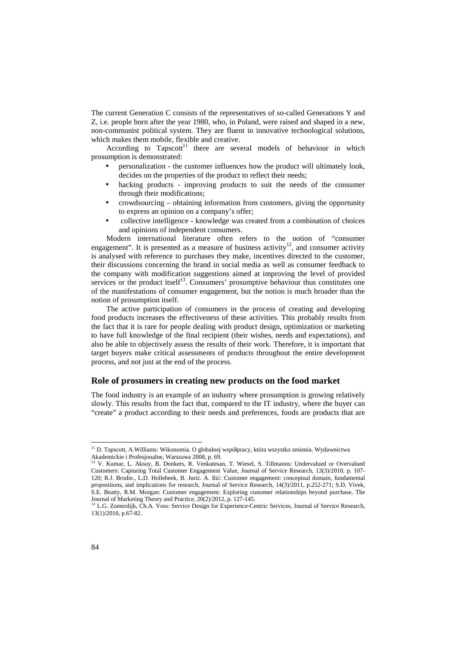The current Generation C consists of the representatives of so-called Generations Y and Z, i.e. people born after the year 1980, who, in Poland, were raised and shaped in a new, non-communist political system. They are fluent in innovative technological solutions, which makes them mobile, flexible and creative.

According to Tapscott<sup>11</sup> there are several models of behaviour in which prosumption is demonstrated:

- personalization the customer influences how the product will ultimately look, decides on the properties of the product to reflect their needs;
- hacking products improving products to suit the needs of the consumer through their modifications;
- crowdsourcing obtaining information from customers, giving the opportunity to express an opinion on a company's offer;
- collective intelligence knowledge was created from a combination of choices and opinions of independent consumers.

Modern international literature often refers to the notion of "consumer engagement". It is presented as a measure of business activity<sup>12</sup>, and consumer activity is analysed with reference to purchases they make, incentives directed to the customer, their discussions concerning the brand in social media as well as consumer feedback to the company with modification suggestions aimed at improving the level of provided services or the product itself $^{13}$ . Consumers' prosumptive behaviour thus constitutes one of the manifestations of consumer engagement, but the notion is much broader than the notion of prosumption itself.

The active participation of consumers in the process of creating and developing food products increases the effectiveness of these activities. This probably results from the fact that it is rare for people dealing with product design, optimization or marketing to have full knowledge of the final recipient (their wishes, needs and expectations), and also be able to objectively assess the results of their work. Therefore, it is important that target buyers make critical assessments of products throughout the entire development process, and not just at the end of the process.

# **Role of prosumers in creating new products on the food market**

The food industry is an example of an industry where prosumption is growing relatively slowly. This results from the fact that, compared to the IT industry, where the buyer can "create" a product according to their needs and preferences, foods are products that are

l

<sup>11</sup> D. Tapscott, A.Williams: Wikonomia. O globalnej współpracy, która wszystko zmienia. Wydawnictwa Akademickie i Profesjonalne, Warszawa 2008, p. 69.

<sup>&</sup>lt;sup>12</sup> V. Kumar, L. Aksoy, B. Donkers, R. Venkatesan, T. Wiesel, S. Tillmanns: Undervalued or Overvalued Customers: Capturing Total Customer Engagement Value, Journal of Service Research, 13(3)/2010, p. 107- 120; R.J. Brodie., L.D. Hollebeek, B. Jurić. A. Ilić: Customer engagement: conceptual domain, fundamental propositions, and implications for research, Journal of Service Research, 14(3)/2011, p.252-271; S.D. Vivek, S.E. Beatty, R.M. Morgan: Customer engagement: Exploring customer relationships beyond purchase, The Journal of Marketing Theory and Practice, 20(2)/2012, p. 127-145.

<sup>13</sup> L.G. Zomerdijk, Ch.A. Voss: Service Design for Experience-Centric Services, Journal of Service Research, 13(1)/2010, p.67-82.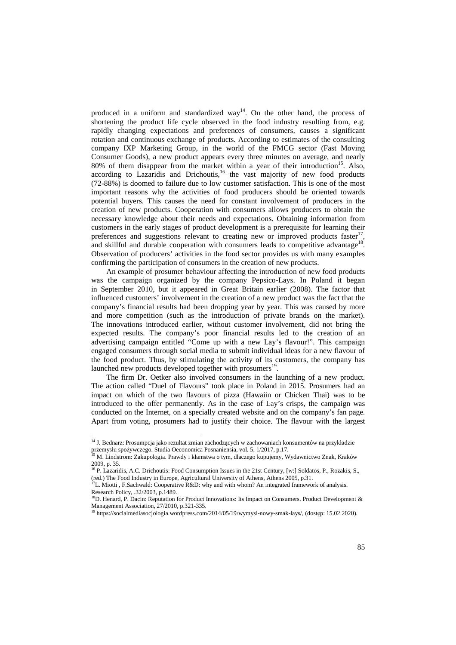produced in a uniform and standardized way<sup>14</sup>. On the other hand, the process of shortening the product life cycle observed in the food industry resulting from, e.g. rapidly changing expectations and preferences of consumers, causes a significant rotation and continuous exchange of products. According to estimates of the consulting company IXP Marketing Group, in the world of the FMCG sector (Fast Moving Consumer Goods), a new product appears every three minutes on average, and nearly 80% of them disappear from the market within a year of their introduction<sup>15</sup>. Also,  $\alpha$  according to Lazaridis and Drichoutis, $\alpha$ <sup>16</sup> the vast majority of new food products (72-88%) is doomed to failure due to low customer satisfaction. This is one of the most important reasons why the activities of food producers should be oriented towards potential buyers. This causes the need for constant involvement of producers in the creation of new products. Cooperation with consumers allows producers to obtain the necessary knowledge about their needs and expectations. Obtaining information from customers in the early stages of product development is a prerequisite for learning their preferences and suggestions relevant to creating new or improved products faster , and skillful and durable cooperation with consumers leads to competitive advantage<sup>18</sup>. Observation of producers' activities in the food sector provides us with many examples confirming the participation of consumers in the creation of new products.

An example of prosumer behaviour affecting the introduction of new food products was the campaign organized by the company Pepsico-Lays. In Poland it began in September 2010, but it appeared in Great Britain earlier (2008). The factor that influenced customers' involvement in the creation of a new product was the fact that the company's financial results had been dropping year by year. This was caused by more and more competition (such as the introduction of private brands on the market). The innovations introduced earlier, without customer involvement, did not bring the expected results. The company's poor financial results led to the creation of an advertising campaign entitled "Come up with a new Lay's flavour!". This campaign engaged consumers through social media to submit individual ideas for a new flavour of the food product. Thus, by stimulating the activity of its customers, the company has launched new products developed together with prosumers<sup>19</sup>.

The firm Dr. Oetker also involved consumers in the launching of a new product. The action called "Duel of Flavours" took place in Poland in 2015. Prosumers had an impact on which of the two flavours of pizza (Hawaiin or Chicken Thai) was to be introduced to the offer permanently. As in the case of Lay's crisps, the campaign was conducted on the Internet, on a specially created website and on the company's fan page. Apart from voting, prosumers had to justify their choice. The flavour with the largest

l

<sup>&</sup>lt;sup>14</sup> J. Bednarz: Prosumpcja jako rezultat zmian zachodzących w zachowaniach konsumentów na przykładzie przemysłu spożywczego. Studia Oeconomica Posnaniensia, vol. 5, 1/2017, p.17.

<sup>15</sup> M. Lindstrom: Zakupologia. Prawdy i kłamstwa o tym, dlaczego kupujemy, Wydawnictwo Znak, Kraków 2009, p. 35.

<sup>&</sup>lt;sup>16</sup> P. Lazaridis, A.C. Drichoutis: Food Consumption Issues in the 21st Century, [w:] Soldatos, P., Rozakis, S., (red.) The Food Industry in Europe, Agricultural University of Athens, Athens 2005, p.31.

 $^{17}$ L. Miotti , F.Sachwald: Cooperative R&D: why and with whom? An integrated framework of analysis. Research Policy, .32/2003, p.1489.

<sup>&</sup>lt;sup>18</sup>D. Henard, P. Dacin: Reputation for Product Innovations: Its Impact on Consumers. Product Development & Management Association, 27/2010, p.321-335.

<sup>19</sup> https://socialmediasocjologia.wordpress.com/2014/05/19/wymysl-nowy-smak-lays/, (dostęp: 15.02.2020).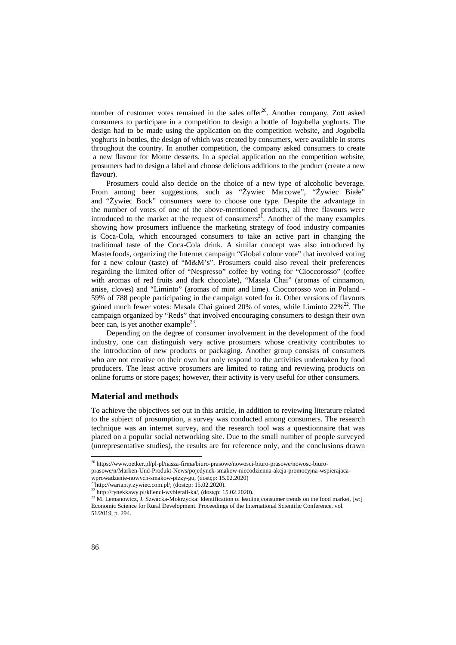number of customer votes remained in the sales offer<sup>20</sup>. Another company, Zott asked consumers to participate in a competition to design a bottle of Jogobella yoghurts. The design had to be made using the application on the competition website, and Jogobella yoghurts in bottles, the design of which was created by consumers, were available in stores throughout the country. In another competition, the company asked consumers to create a new flavour for Monte desserts. In a special application on the competition website, prosumers had to design a label and choose delicious additions to the product (create a new flavour).

Prosumers could also decide on the choice of a new type of alcoholic beverage. From among beer suggestions, such as "Żywiec Marcowe", "Żywiec Białe" and "Żywiec Bock" consumers were to choose one type. Despite the advantage in the number of votes of one of the above-mentioned products, all three flavours were introduced to the market at the request of consumers $^{21}$ . Another of the many examples showing how prosumers influence the marketing strategy of food industry companies is Coca-Cola, which encouraged consumers to take an active part in changing the traditional taste of the Coca-Cola drink. A similar concept was also introduced by Masterfoods, organizing the Internet campaign "Global colour vote" that involved voting for a new colour (taste) of "M&M's". Prosumers could also reveal their preferences regarding the limited offer of "Nespresso" coffee by voting for "Cioccorosso" (coffee with aromas of red fruits and dark chocolate), "Masala Chai" (aromas of cinnamon, anise, cloves) and "Liminto" (aromas of mint and lime). Cioccorosso won in Poland - 59% of 788 people participating in the campaign voted for it. Other versions of flavours gained much fewer votes: Masala Chai gained  $20\%$  of votes, while Liminto  $22\%^{22}$ . The campaign organized by "Reds" that involved encouraging consumers to design their own beer can, is yet another example<sup>23</sup>.

Depending on the degree of consumer involvement in the development of the food industry, one can distinguish very active prosumers whose creativity contributes to the introduction of new products or packaging. Another group consists of consumers who are not creative on their own but only respond to the activities undertaken by food producers. The least active prosumers are limited to rating and reviewing products on online forums or store pages; however, their activity is very useful for other consumers.

### **Material and methods**

To achieve the objectives set out in this article, in addition to reviewing literature related to the subject of prosumption, a survey was conducted among consumers. The research technique was an internet survey, and the research tool was a questionnaire that was placed on a popular social networking site. Due to the small number of people surveyed (unrepresentative studies), the results are for reference only, and the conclusions drawn

l

<sup>20</sup> https://www.oetker.pl/pl-pl/nasza-firma/biuro-prasowe/nowosci-biuro-prasowe/nowosc-biuro-

prasowe/n/Marken-Und-Produkt-News/pojedynek-smakow-niecodzienna-akcja-promocyjna-wspierajaca-

wprowadzenie-nowych-smakow-pizzy-gu, (dostęp: 15.02.2020)

 $^{21}$ http://warianty.zywiec.com.pl/, (dostęp: 15.02.2020).

 $^{22}$ http://rynekkawy.pl/klienci-wybierali-ka/, (dostęp: 15.02.2020).

<sup>&</sup>lt;sup>23</sup> M. Lemanowicz, J. Szwacka-Mokrzycka: Identification of leading consumer trends on the food market, [w:] Economic Science for Rural Development. Proceedings of the International Scientific Conference, vol. 51/2019, p. 294.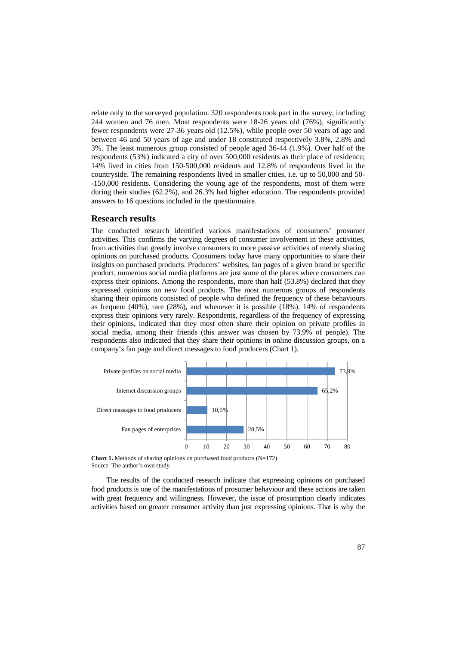relate only to the surveyed population. 320 respondents took part in the survey, including 244 women and 76 men. Most respondents were 18-26 years old (76%), significantly fewer respondents were 27-36 years old (12.5%), while people over 50 years of age and between 46 and 50 years of age and under 18 constituted respectively 3.8%, 2.8% and 3%. The least numerous group consisted of people aged 36-44 (1.9%). Over half of the respondents (53%) indicated a city of over 500,000 residents as their place of residence; 14% lived in cities from 150-500,000 residents and 12.8% of respondents lived in the countryside. The remaining respondents lived in smaller cities, i.e. up to 50,000 and 50- -150,000 residents. Considering the young age of the respondents, most of them were during their studies (62.2%), and 26.3% had higher education. The respondents provided answers to 16 questions included in the questionnaire.

#### **Research results**

The conducted research identified various manifestations of consumers' prosumer activities. This confirms the varying degrees of consumer involvement in these activities, from activities that greatly involve consumers to more passive activities of merely sharing opinions on purchased products. Consumers today have many opportunities to share their insights on purchased products. Producers' websites, fan pages of a given brand or specific product, numerous social media platforms are just some of the places where consumers can express their opinions. Among the respondents, more than half (53.8%) declared that they expressed opinions on new food products. The most numerous groups of respondents sharing their opinions consisted of people who defined the frequency of these behaviours as frequent (40%), rare (28%), and whenever it is possible (18%). 14% of respondents express their opinions very rarely. Respondents, regardless of the frequency of expressing their opinions, indicated that they most often share their opinion on private profiles in social media, among their friends (this answer was chosen by 73.9% of people). The respondents also indicated that they share their opinions in online discussion groups, on a company's fan page and direct messages to food producers (Chart 1).



**Chart 1.** Methods of sharing opinions on purchased food products  $(N=172)$ Source: The author's own study.

The results of the conducted research indicate that expressing opinions on purchased food products is one of the manifestations of prosumer behaviour and these actions are taken with great frequency and willingness. However, the issue of prosumption clearly indicates activities based on greater consumer activity than just expressing opinions. That is why the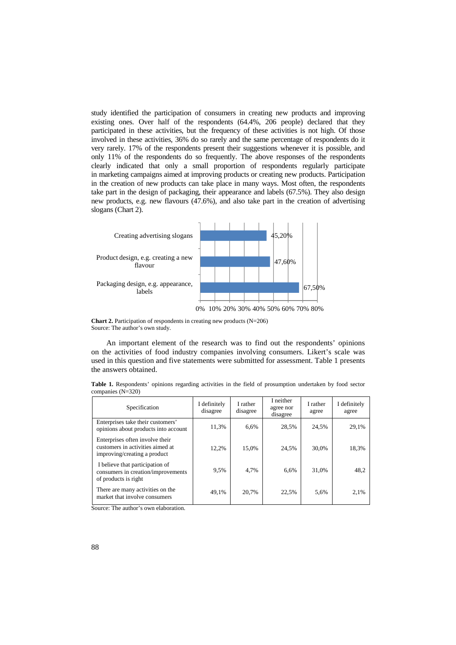study identified the participation of consumers in creating new products and improving existing ones. Over half of the respondents (64.4%, 206 people) declared that they participated in these activities, but the frequency of these activities is not high. Of those involved in these activities, 36% do so rarely and the same percentage of respondents do it very rarely. 17% of the respondents present their suggestions whenever it is possible, and only 11% of the respondents do so frequently. The above responses of the respondents clearly indicated that only a small proportion of respondents regularly participate in marketing campaigns aimed at improving products or creating new products. Participation in the creation of new products can take place in many ways. Most often, the respondents take part in the design of packaging, their appearance and labels (67.5%). They also design new products, e.g. new flavours (47.6%), and also take part in the creation of advertising slogans (Chart 2).



**Chart 2.** Participation of respondents in creating new products (N=206) Source: The author's own study.

An important element of the research was to find out the respondents' opinions on the activities of food industry companies involving consumers. Likert's scale was used in this question and five statements were submitted for assessment. Table 1 presents the answers obtained.

**Table 1.** Respondents' opinions regarding activities in the field of prosumption undertaken by food sector companies (N=320)

| Specification                                                                                       | I definitely<br>disagree | I rather<br>disagree | I neither<br>agree nor<br>disagree | I rather<br>agree | I definitely<br>agree |
|-----------------------------------------------------------------------------------------------------|--------------------------|----------------------|------------------------------------|-------------------|-----------------------|
| Enterprises take their customers'<br>opinions about products into account                           | 11,3%                    | 6.6%                 | 28.5%                              | 24,5%             | 29,1%                 |
| Enterprises often involve their<br>customers in activities aimed at<br>improving/creating a product | 12,2%                    | 15.0%                | 24,5%                              | 30.0%             | 18,3%                 |
| I believe that participation of<br>consumers in creation/improvements<br>of products is right       | 9,5%                     | 4.7%                 | 6.6%                               | 31,0%             | 48.2                  |
| There are many activities on the<br>market that involve consumers                                   | 49,1%                    | 20.7%                | 22.5%                              | 5.6%              | 2,1%                  |

Source: The author's own elaboration.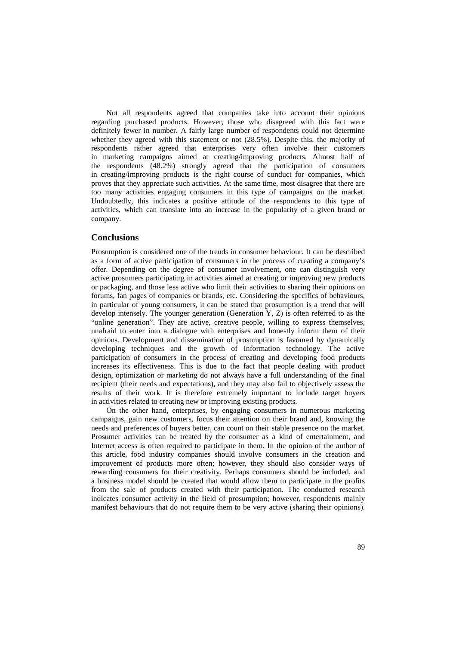Not all respondents agreed that companies take into account their opinions regarding purchased products. However, those who disagreed with this fact were definitely fewer in number. A fairly large number of respondents could not determine whether they agreed with this statement or not (28.5%). Despite this, the majority of respondents rather agreed that enterprises very often involve their customers in marketing campaigns aimed at creating/improving products. Almost half of the respondents (48.2%) strongly agreed that the participation of consumers in creating/improving products is the right course of conduct for companies, which proves that they appreciate such activities. At the same time, most disagree that there are too many activities engaging consumers in this type of campaigns on the market. Undoubtedly, this indicates a positive attitude of the respondents to this type of activities, which can translate into an increase in the popularity of a given brand or company.

# **Conclusions**

Prosumption is considered one of the trends in consumer behaviour. It can be described as a form of active participation of consumers in the process of creating a company's offer. Depending on the degree of consumer involvement, one can distinguish very active prosumers participating in activities aimed at creating or improving new products or packaging, and those less active who limit their activities to sharing their opinions on forums, fan pages of companies or brands, etc. Considering the specifics of behaviours, in particular of young consumers, it can be stated that prosumption is a trend that will develop intensely. The younger generation (Generation Y, Z) is often referred to as the "online generation". They are active, creative people, willing to express themselves, unafraid to enter into a dialogue with enterprises and honestly inform them of their opinions. Development and dissemination of prosumption is favoured by dynamically developing techniques and the growth of information technology. The active participation of consumers in the process of creating and developing food products increases its effectiveness. This is due to the fact that people dealing with product design, optimization or marketing do not always have a full understanding of the final recipient (their needs and expectations), and they may also fail to objectively assess the results of their work. It is therefore extremely important to include target buyers in activities related to creating new or improving existing products.

On the other hand, enterprises, by engaging consumers in numerous marketing campaigns, gain new customers, focus their attention on their brand and, knowing the needs and preferences of buyers better, can count on their stable presence on the market. Prosumer activities can be treated by the consumer as a kind of entertainment, and Internet access is often required to participate in them. In the opinion of the author of this article, food industry companies should involve consumers in the creation and improvement of products more often; however, they should also consider ways of rewarding consumers for their creativity. Perhaps consumers should be included, and a business model should be created that would allow them to participate in the profits from the sale of products created with their participation. The conducted research indicates consumer activity in the field of prosumption; however, respondents mainly manifest behaviours that do not require them to be very active (sharing their opinions).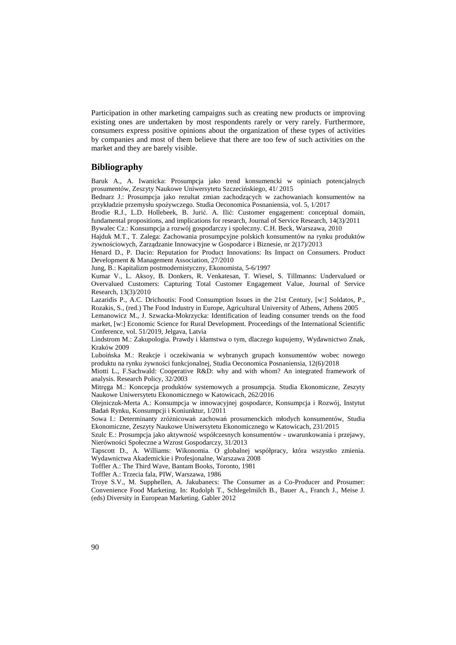Participation in other marketing campaigns such as creating new products or improving existing ones are undertaken by most respondents rarely or very rarely. Furthermore, consumers express positive opinions about the organization of these types of activities by companies and most of them believe that there are too few of such activities on the market and they are barely visible.

# **Bibliography**

Baruk A., A. Iwanicka: Prosumpcja jako trend konsumencki w opiniach potencjalnych prosumentów, Zeszyty Naukowe Uniwersytetu Szczecińskiego, 41/ 2015

Bednarz J.: Prosumpcja jako rezultat zmian zachodzących w zachowaniach konsumentów na przykładzie przemysłu spożywczego. Studia Oeconomica Posnaniensia, vol. 5, 1/2017

Brodie R.J., L.D. Hollebeek, B. Jurić. A. Ilić: Customer engagement: conceptual domain, fundamental propositions, and implications for research, Journal of Service Research, 14(3)/2011 Bywalec Cz.: Konsumpcja a rozwój gospodarczy i społeczny. C.H. Beck, Warszawa, 2010

Hajduk M.T., T. Zalega: Zachowania prosumpcyjne polskich konsumentów na rynku produktów żywnościowych, Zarządzanie Innowacyjne w Gospodarce i Biznesie, nr 2(17)/2013

Henard D., P. Dacin: Reputation for Product Innovations: Its Impact on Consumers. Product Development & Management Association, 27/2010

Jung, B.: Kapitalizm postmodernistyczny, Ekonomista, 5-6/1997

Kumar V., L. Aksoy, B. Donkers, R. Venkatesan, T. Wiesel, S. Tillmanns: Undervalued or Overvalued Customers: Capturing Total Customer Engagement Value, Journal of Service Research, 13(3)/2010

Lazaridis P., A.C. Drichoutis: Food Consumption Issues in the 21st Century, [w:] Soldatos, P., Rozakis, S., (red.) The Food Industry in Europe, Agricultural University of Athens, Athens 2005

Lemanowicz M., J. Szwacka-Mokrzycka: Identification of leading consumer trends on the food market, [w:] Economic Science for Rural Development. Proceedings of the International Scientific Conference, vol. 51/2019, Jelgava, Latvia

Lindstrom M.: Zakupologia. Prawdy i kłamstwa o tym, dlaczego kupujemy, Wydawnictwo Znak, Kraków 2009

Luboińska M.: Reakcje i oczekiwania w wybranych grupach konsumentów wobec nowego produktu na rynku żywności funkcjonalnej, Studia Oeconomica Posnaniensia, 12(6)/2018

Miotti L., F.Sachwald: Cooperative R&D: why and with whom? An integrated framework of analysis. Research Policy, 32/2003

Mitręga M.: Koncepcja produktów systemowych a prosumpcja. Studia Ekonomiczne, Zeszyty Naukowe Uniwersytetu Ekonomicznego w Katowicach, 262/2016

Olejniczuk-Merta A.: Konsumpcja w innowacyjnej gospodarce, Konsumpcja i Rozwój, Instytut Badań Rynku, Konsumpcji i Koniunktur, 1/2011

Sowa I.: Determinanty zróżnicowań zachowań prosumenckich młodych konsumentów, Studia Ekonomiczne, Zeszyty Naukowe Uniwersytetu Ekonomicznego w Katowicach, 231/2015

Szulc E.: Prosumpcja jako aktywność współczesnych konsumentów - uwarunkowania i przejawy, Nierówności Społeczne a Wzrost Gospodarczy, 31/2013

Tapscott D., A. Williams: Wikonomia. O globalnej współpracy, która wszystko zmienia. Wydawnictwa Akademickie i Profesjonalne, Warszawa 2008

Toffler A.: The Third Wave, Bantam Books, Toronto, 1981

Toffler A.: Trzecia fala, PIW, Warszawa, 1986

Troye S.V., M. Supphellen, A. Jakubanecs: The Consumer as a Co-Producer and Prosumer: Convenience Food Marketing. In: Rudolph T., Schlegelmilch B., Bauer A., Franch J., Meise J. (eds) Diversity in European Marketing. Gabler 2012